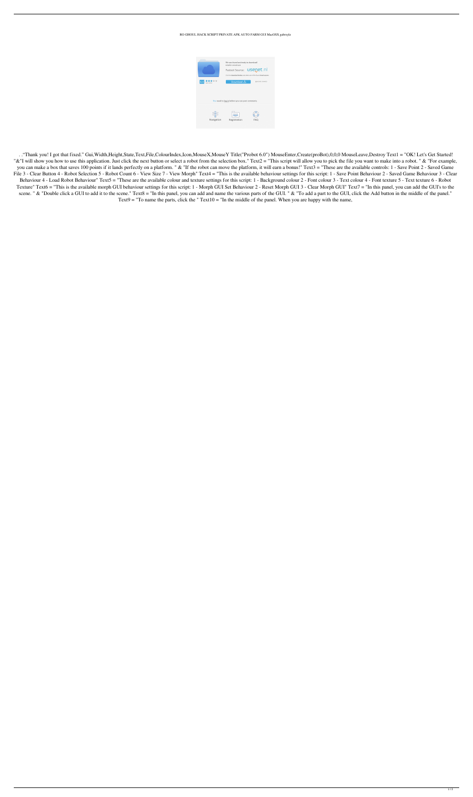## RO GHOUL HACK SCRIPT PRIVATE AFK AUTO FARM GUI MacOSX gabrxyle



 . ."Thank you! I got that fixed." Gui,Width,Height,State,Text,File,ColourIndex,Icon,MouseX,MouseY Title("Probot 6.0") MouseEnter,Create(proBot),0,0,0 MouseLeave,Destroy Text1 = "OK! Let's Get Started! "&"I will show you how to use this application. Just click the next button or select a robot from the selection box." Text2 = "This script will allow you to pick the file you want to make into a robot. " & "For example, you can make a box that saves 100 points if it lands perfectly on a platform. " & "If the robot can move the platform, it will earn a bonus!" Text3 = "These are the available controls: 1 - Save Point 2 - Saved Game File 3 - Clear Button 4 - Robot Selection 5 - Robot Count 6 - View Size 7 - View Morph" Text4 = "This is the available behaviour settings for this script: 1 - Save Point Behaviour 2 - Saved Game Behaviour 3 - Clear Behaviour 4 - Load Robot Behaviour" Text5 = "These are the available colour and texture settings for this script: 1 - Background colour 2 - Font colour 3 - Text colour 4 - Font texture 5 - Text texture 6 - Robot Texture" Text6 = "This is the available morph GUI behaviour settings for this script: 1 - Morph GUI Set Behaviour 2 - Reset Morph GUI 3 - Clear Morph GUI" Text7 = "In this panel, you can add the GUI's to the scene. " & "Double click a GUI to add it to the scene." Text8 = "In this panel, you can add and name the various parts of the GUI. " & "To add a part to the GUI, click the Add button in the middle of the panel." Text9 = "To name the parts, click the " Text10 = "In the middle of the panel. When you are happy with the name,